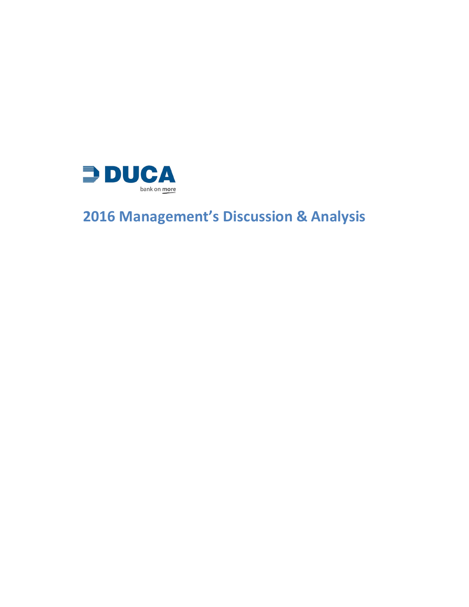

# **2016 Management's Discussion & Analysis**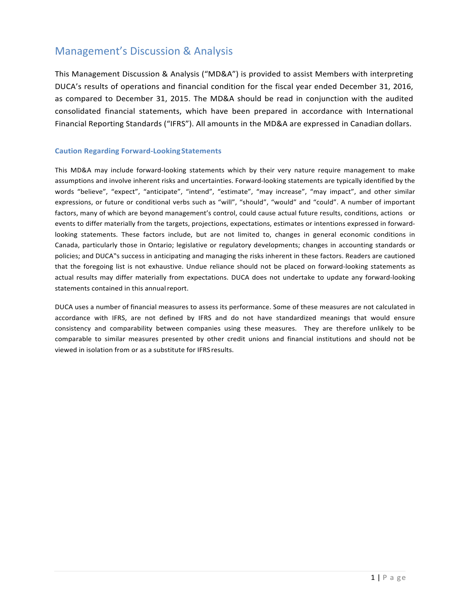### Management's Discussion & Analysis

This Management Discussion & Analysis ("MD&A") is provided to assist Members with interpreting DUCA's results of operations and financial condition for the fiscal year ended December 31, 2016, as compared to December 31, 2015. The MD&A should be read in conjunction with the audited consolidated financial statements, which have been prepared in accordance with International Financial Reporting Standards ("IFRS"). All amounts in the MD&A are expressed in Canadian dollars.

#### **Caution Regarding Forward-LookingStatements**

This MD&A may include forward-looking statements which by their very nature require management to make assumptions and involve inherent risks and uncertainties. Forward-looking statements are typically identified by the words "believe", "expect", "anticipate", "intend", "estimate", "may increase", "may impact", and other similar expressions, or future or conditional verbs such as "will", "should", "would" and "could". A number of important factors, many of which are beyond management's control, could cause actual future results, conditions, actions or events to differ materially from the targets, projections, expectations, estimates or intentions expressed in forwardlooking statements. These factors include, but are not limited to, changes in general economic conditions in Canada, particularly those in Ontario; legislative or regulatory developments; changes in accounting standards or policies; and DUCA"s success in anticipating and managing the risks inherent in these factors. Readers are cautioned that the foregoing list is not exhaustive. Undue reliance should not be placed on forward-looking statements as actual results may differ materially from expectations. DUCA does not undertake to update any forward-looking statements contained in this annual report.

DUCA uses a number of financial measures to assess its performance. Some of these measures are not calculated in accordance with IFRS, are not defined by IFRS and do not have standardized meanings that would ensure consistency and comparability between companies using these measures. They are therefore unlikely to be comparable to similar measures presented by other credit unions and financial institutions and should not be viewed in isolation from or as a substitute for IFRS results.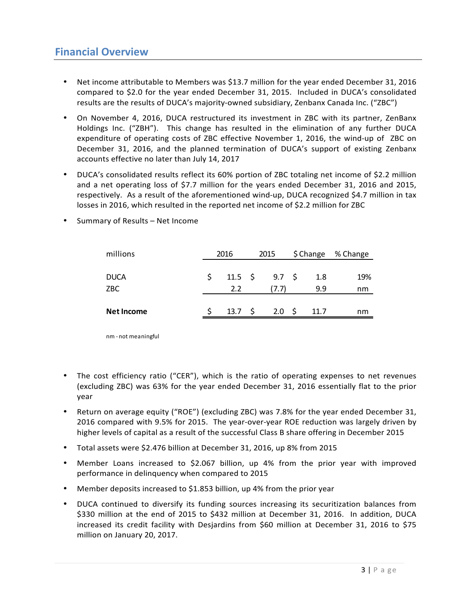- Net income attributable to Members was \$13.7 million for the year ended December 31, 2016 compared to \$2.0 for the year ended December 31, 2015. Included in DUCA's consolidated results are the results of DUCA's majority-owned subsidiary, Zenbanx Canada Inc. ("ZBC")
- On November 4, 2016, DUCA restructured its investment in ZBC with its partner, ZenBanx Holdings Inc. ("ZBH"). This change has resulted in the elimination of any further DUCA expenditure of operating costs of ZBC effective November 1, 2016, the wind-up of ZBC on December 31, 2016, and the planned termination of DUCA's support of existing Zenbanx accounts effective no later than July 14, 2017
- DUCA's consolidated results reflect its 60% portion of ZBC totaling net income of \$2.2 million and a net operating loss of \$7.7 million for the years ended December 31, 2016 and 2015, respectively. As a result of the aforementioned wind-up, DUCA recognized \$4.7 million in tax losses in 2016, which resulted in the reported net income of \$2.2 million for ZBC

| millions          | 2016 |         | 2015           |      | $$$ Change % Change |  |
|-------------------|------|---------|----------------|------|---------------------|--|
|                   |      |         |                |      |                     |  |
| <b>DUCA</b>       | S.   |         | 11.5 \$ 9.7 \$ | 1.8  | 19%                 |  |
| ZBC               |      | 2.2     | (7.7)          | 9.9  | nm                  |  |
|                   |      |         |                |      |                     |  |
| <b>Net Income</b> |      | 13.7 \$ | $2.0 \,$ \$    | 11.7 | nm                  |  |

• Summary of Results – Net Income

nm - not meaningful

- The cost efficiency ratio ("CER"), which is the ratio of operating expenses to net revenues (excluding ZBC) was 63% for the year ended December 31, 2016 essentially flat to the prior year
- Return on average equity ("ROE") (excluding ZBC) was 7.8% for the year ended December 31, 2016 compared with 9.5% for 2015. The year-over-year ROE reduction was largely driven by higher levels of capital as a result of the successful Class B share offering in December 2015
- Total assets were \$2.476 billion at December 31, 2016, up 8% from 2015
- Member Loans increased to \$2.067 billion, up 4% from the prior year with improved performance in delinguency when compared to 2015
- Member deposits increased to \$1.853 billion, up 4% from the prior year
- DUCA continued to diversify its funding sources increasing its securitization balances from \$330 million at the end of 2015 to \$432 million at December 31, 2016. In addition, DUCA increased its credit facility with Desjardins from \$60 million at December 31, 2016 to \$75 million on January 20, 2017.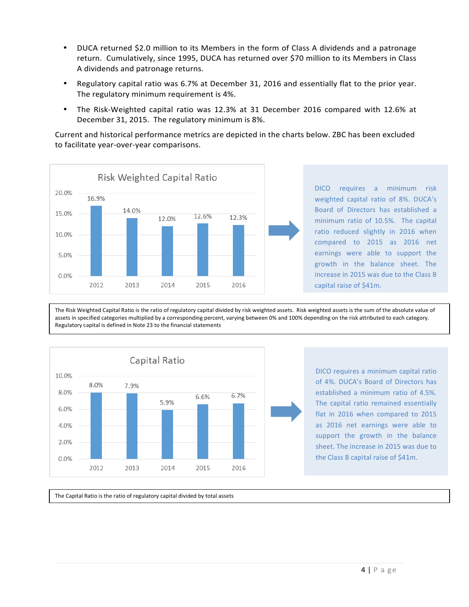- DUCA returned \$2.0 million to its Members in the form of Class A dividends and a patronage return. Cumulatively, since 1995, DUCA has returned over \$70 million to its Members in Class A dividends and patronage returns.
- Regulatory capital ratio was 6.7% at December 31, 2016 and essentially flat to the prior year. The regulatory minimum requirement is 4%.
- The Risk-Weighted capital ratio was 12.3% at 31 December 2016 compared with 12.6% at December 31, 2015. The regulatory minimum is 8%.

Current and historical performance metrics are depicted in the charts below. ZBC has been excluded to facilitate year-over-year comparisons.



DICO requires a minimum risk weighted capital ratio of 8%. DUCA's Board of Directors has established a minimum ratio of 10.5%. The capital ratio reduced slightly in 2016 when compared to 2015 as 2016 net earnings were able to support the growth in the balance sheet. The increase in 2015 was due to the Class B capital raise of \$41m.

The Risk Weighted Capital Ratio is the ratio of regulatory capital divided by risk weighted assets. Risk weighted assets is the sum of the absolute value of assets in specified categories multiplied by a corresponding percent, varying between 0% and 100% depending on the risk attributed to each category. Regulatory capital is defined in Note 23 to the financial statements



DICO requires a minimum capital ratio of 4%. DUCA's Board of Directors has established a minimum ratio of 4.5%. The capital ratio remained essentially flat in  $2016$  when compared to  $2015$ as 2016 net earnings were able to support the growth in the balance sheet. The increase in 2015 was due to the Class B capital raise of \$41m.

The Capital Ratio is the ratio of regulatory capital divided by total assets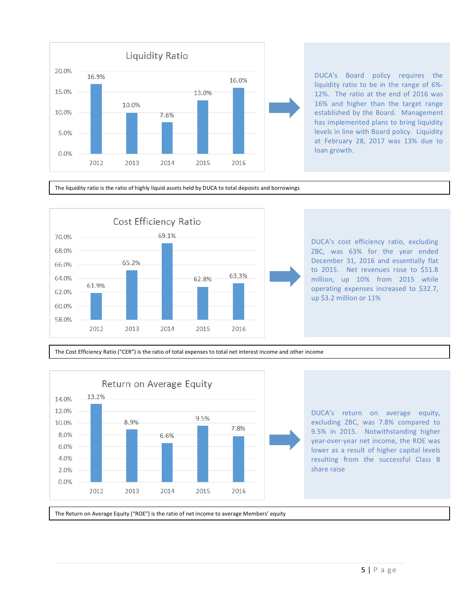

DUCA's Board policy requires the liquidity ratio to be in the range of 6%-12%. The ratio at the end of 2016 was 16% and higher than the target range established by the Board. Management has implemented plans to bring liquidity levels in line with Board policy. Liquidity at February 28, 2017 was 13% due to loan growth.

The liquidity ratio is the ratio of highly liquid assets held by DUCA to total deposits and borrowings



DUCA's cost efficiency ratio, excluding ZBC, was 63% for the year ended December 31, 2016 and essentially flat to 2015. Net revenues rose to \$51.8 million, up 10% from 2015 while operating expenses increased to \$32.7, up \$3.2 million or 11%

The Cost Efficiency Ratio ("CER") is the ratio of total expenses to total net interest income and other income



DUCA's return on average equity, excluding ZBC, was 7.8% compared to 9.5% in 2015. Notwithstanding higher year-over-year net income, the ROE was lower as a result of higher capital levels resulting from the successful Class B share raise

The Return on Average Equity ("ROE") is the ratio of net income to average Members' equity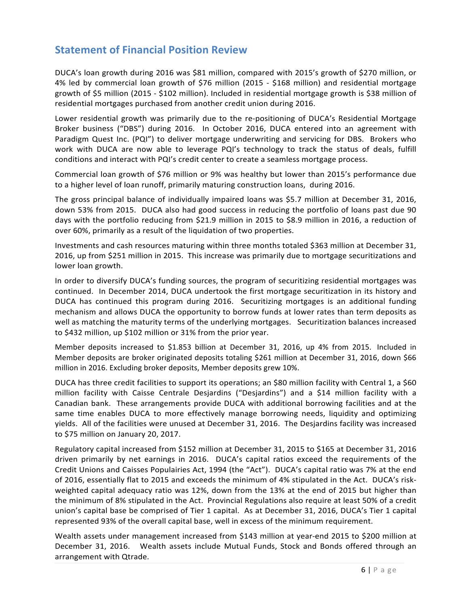#### **Statement of Financial Position Review**

DUCA's loan growth during 2016 was \$81 million, compared with 2015's growth of \$270 million, or 4% led by commercial loan growth of \$76 million (2015 - \$168 million) and residential mortgage growth of \$5 million (2015 - \$102 million). Included in residential mortgage growth is \$38 million of residential mortgages purchased from another credit union during 2016.

Lower residential growth was primarily due to the re-positioning of DUCA's Residential Mortgage Broker business ("DBS") during 2016. In October 2016, DUCA entered into an agreement with Paradigm Quest Inc. (PQI") to deliver mortgage underwriting and servicing for DBS. Brokers who work with DUCA are now able to leverage PQI's technology to track the status of deals, fulfill conditions and interact with PQI's credit center to create a seamless mortgage process.

Commercial loan growth of \$76 million or 9% was healthy but lower than 2015's performance due to a higher level of loan runoff, primarily maturing construction loans, during 2016.

The gross principal balance of individually impaired loans was \$5.7 million at December 31, 2016, down 53% from 2015. DUCA also had good success in reducing the portfolio of loans past due 90 days with the portfolio reducing from \$21.9 million in 2015 to \$8.9 million in 2016, a reduction of over 60%, primarily as a result of the liquidation of two properties.

Investments and cash resources maturing within three months totaled \$363 million at December 31, 2016, up from \$251 million in 2015. This increase was primarily due to mortgage securitizations and lower loan growth.

In order to diversify DUCA's funding sources, the program of securitizing residential mortgages was continued. In December 2014, DUCA undertook the first mortgage securitization in its history and DUCA has continued this program during 2016. Securitizing mortgages is an additional funding mechanism and allows DUCA the opportunity to borrow funds at lower rates than term deposits as well as matching the maturity terms of the underlying mortgages. Securitization balances increased to \$432 million, up \$102 million or 31% from the prior year.

Member deposits increased to \$1.853 billion at December 31, 2016, up 4% from 2015. Included in Member deposits are broker originated deposits totaling \$261 million at December 31, 2016, down \$66 million in 2016. Excluding broker deposits, Member deposits grew 10%.

DUCA has three credit facilities to support its operations; an \$80 million facility with Central 1, a \$60 million facility with Caisse Centrale Desjardins ("Desjardins") and a \$14 million facility with a Canadian bank. These arrangements provide DUCA with additional borrowing facilities and at the same time enables DUCA to more effectively manage borrowing needs, liquidity and optimizing yields. All of the facilities were unused at December 31, 2016. The Desjardins facility was increased to \$75 million on January 20, 2017.

Regulatory capital increased from \$152 million at December 31, 2015 to \$165 at December 31, 2016 driven primarily by net earnings in 2016. DUCA's capital ratios exceed the requirements of the Credit Unions and Caisses Populairies Act, 1994 (the "Act"). DUCA's capital ratio was 7% at the end of 2016, essentially flat to 2015 and exceeds the minimum of 4% stipulated in the Act. DUCA's riskweighted capital adequacy ratio was 12%, down from the 13% at the end of 2015 but higher than the minimum of 8% stipulated in the Act. Provincial Regulations also require at least 50% of a credit union's capital base be comprised of Tier 1 capital. As at December 31, 2016, DUCA's Tier 1 capital represented 93% of the overall capital base, well in excess of the minimum requirement.

Wealth assets under management increased from \$143 million at year-end 2015 to \$200 million at December 31, 2016. Wealth assets include Mutual Funds, Stock and Bonds offered through an arrangement with Qtrade.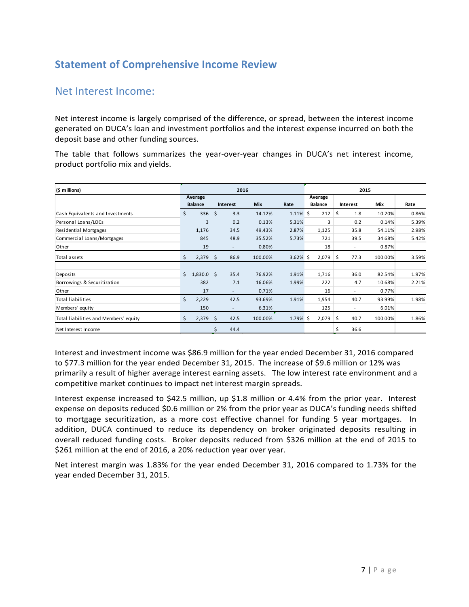### **Statement of Comprehensive Income Review**

#### Net Interest Income:

Net interest income is largely comprised of the difference, or spread, between the interest income generated on DUCA's loan and investment portfolios and the interest expense incurred on both the deposit base and other funding sources.

The table that follows summarizes the year-over-year changes in DUCA's net interest income, product portfolio mix and yields.

| (\$ millions)                         | 2016 |                |    |                          |            |             | 2015 |                |     |                          |         |       |
|---------------------------------------|------|----------------|----|--------------------------|------------|-------------|------|----------------|-----|--------------------------|---------|-------|
|                                       |      | Average        |    |                          |            |             |      | Average        |     |                          |         |       |
|                                       |      | <b>Balance</b> |    | Interest                 | <b>Mix</b> | Rate        |      | <b>Balance</b> |     | Interest                 | Mix     | Rate  |
| Cash Equivalents and Investments      | \$   | 336            | Ŝ. | 3.3                      | 14.12%     | $1.11\%$ \$ |      | 212            | Ś.  | 1.8                      | 10.20%  | 0.86% |
| Personal Loans/LOCs                   |      | 3              |    | 0.2                      | 0.13%      | 5.31%       |      | 3              |     | 0.2                      | 0.14%   | 5.39% |
| Residential Mortgages                 |      | 1,176          |    | 34.5                     | 49.43%     | 2.87%       |      | 1,125          |     | 35.8                     | 54.11%  | 2.98% |
| Commercial Loans/Mortgages            |      | 845            |    | 48.9                     | 35.52%     | 5.73%       |      | 721            |     | 39.5                     | 34.68%  | 5.42% |
| Other                                 |      | 19             |    | $\overline{\phantom{a}}$ | 0.80%      |             |      | 18             |     | $\overline{\phantom{a}}$ | 0.87%   |       |
| Total assets                          | \$   | $2,379$ \$     |    | 86.9                     | 100.00%    | $3.62\%$ \$ |      | 2,079          | \$. | 77.3                     | 100.00% | 3.59% |
|                                       |      |                |    |                          |            |             |      |                |     |                          |         |       |
| Deposits                              | Ś.   | $1,830.0$ \$   |    | 35.4                     | 76.92%     | 1.91%       |      | 1,716          |     | 36.0                     | 82.54%  | 1.97% |
| Borrowings & Securitization           |      | 382            |    | 7.1                      | 16.06%     | 1.99%       |      | 222            |     | 4.7                      | 10.68%  | 2.21% |
| Other                                 |      | 17             |    | $\overline{\phantom{a}}$ | 0.71%      |             |      | 16             |     | -                        | 0.77%   |       |
| <b>Total liabilities</b>              | \$   | 2,229          |    | 42.5                     | 93.69%     | 1.91%       |      | 1,954          |     | 40.7                     | 93.99%  | 1.98% |
| Members' equity                       |      | 150            |    | $\overline{\phantom{a}}$ | 6.31%      |             |      | 125            |     | $\overline{\phantom{a}}$ | 6.01%   |       |
| Total liabilities and Members' equity | \$   | 2,379          | S. | 42.5                     | 100.00%    | 1.79% \$    |      | 2,079          | \$. | 40.7                     | 100.00% | 1.86% |
| Net Interest Income                   |      |                | \$ | 44.4                     |            |             |      |                | \$  | 36.6                     |         |       |

Interest and investment income was \$86.9 million for the year ended December 31, 2016 compared to \$77.3 million for the year ended December 31, 2015. The increase of \$9.6 million or 12% was primarily a result of higher average interest earning assets. The low interest rate environment and a competitive market continues to impact net interest margin spreads.

Interest expense increased to \$42.5 million, up \$1.8 million or  $4.4\%$  from the prior year. Interest expense on deposits reduced \$0.6 million or 2% from the prior year as DUCA's funding needs shifted to mortgage securitization, as a more cost effective channel for funding 5 year mortgages. In addition, DUCA continued to reduce its dependency on broker originated deposits resulting in overall reduced funding costs. Broker deposits reduced from \$326 million at the end of 2015 to \$261 million at the end of 2016, a 20% reduction year over year.

Net interest margin was 1.83% for the year ended December 31, 2016 compared to 1.73% for the year ended December 31, 2015.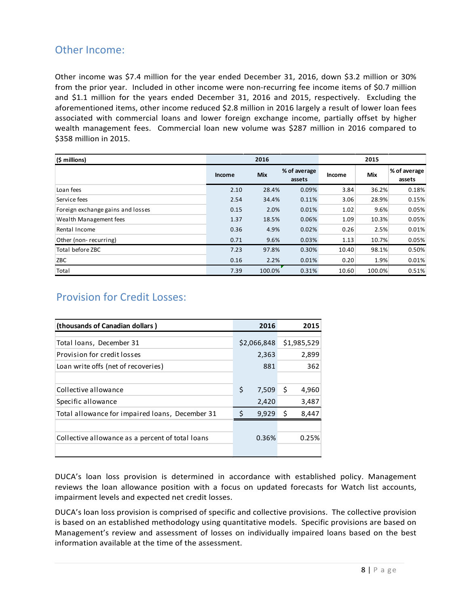#### Other Income:

Other income was \$7.4 million for the year ended December 31, 2016, down \$3.2 million or 30% from the prior year. Included in other income were non-recurring fee income items of \$0.7 million and \$1.1 million for the years ended December 31, 2016 and 2015, respectively. Excluding the aforementioned items, other income reduced \$2.8 million in 2016 largely a result of lower loan fees associated with commercial loans and lower foreign exchange income, partially offset by higher wealth management fees. Commercial loan new volume was \$287 million in 2016 compared to \$358 million in 2015.

| $(5 \text{ millions})$            |               | 2016       |                        | 2015   |        |                        |  |  |
|-----------------------------------|---------------|------------|------------------------|--------|--------|------------------------|--|--|
|                                   | <b>Income</b> | <b>Mix</b> | % of average<br>assets | Income | Mix    | % of average<br>assets |  |  |
| Loan fees                         | 2.10          | 28.4%      | 0.09%                  | 3.84   | 36.2%  | 0.18%                  |  |  |
| Service fees                      | 2.54          | 34.4%      | 0.11%                  | 3.06   | 28.9%  | 0.15%                  |  |  |
| Foreign exchange gains and losses | 0.15          | 2.0%       | 0.01%                  | 1.02   | 9.6%   | 0.05%                  |  |  |
| Wealth Management fees            | 1.37          | 18.5%      | 0.06%                  | 1.09   | 10.3%  | 0.05%                  |  |  |
| Rental Income                     | 0.36          | 4.9%       | 0.02%                  | 0.26   | 2.5%   | 0.01%                  |  |  |
| Other (non-recurring)             | 0.71          | 9.6%       | 0.03%                  | 1.13   | 10.7%  | 0.05%                  |  |  |
| Total before ZBC                  | 7.23          | 97.8%      | 0.30%                  | 10.40  | 98.1%  | 0.50%                  |  |  |
| ZBC                               | 0.16          | 2.2%       | 0.01%                  | 0.20   | 1.9%   | 0.01%                  |  |  |
| Total                             | 7.39          | 100.0%     | 0.31%                  | 10.60  | 100.0% | 0.51%                  |  |  |

### Provision for Credit Losses:

| (thousands of Canadian dollars)                  | 2016        | 2015        |
|--------------------------------------------------|-------------|-------------|
| Total loans, December 31                         | \$2,066,848 | \$1,985,529 |
| Provision for credit losses                      | 2,363       | 2,899       |
| Loan write offs (net of recoveries)              | 881         | 362         |
|                                                  |             |             |
| Collective allowance                             | \$<br>7,509 | \$<br>4,960 |
| Specific allowance                               | 2,420       | 3,487       |
| Total allowance for impaired loans, December 31  | Ş<br>9,929  | 8,447<br>\$ |
|                                                  |             |             |
| Collective allowance as a percent of total loans | 0.36%       | 0.25%       |
|                                                  |             |             |

DUCA's loan loss provision is determined in accordance with established policy. Management reviews the loan allowance position with a focus on updated forecasts for Watch list accounts, impairment levels and expected net credit losses.

DUCA's loan loss provision is comprised of specific and collective provisions. The collective provision is based on an established methodology using quantitative models. Specific provisions are based on Management's review and assessment of losses on individually impaired loans based on the best information available at the time of the assessment.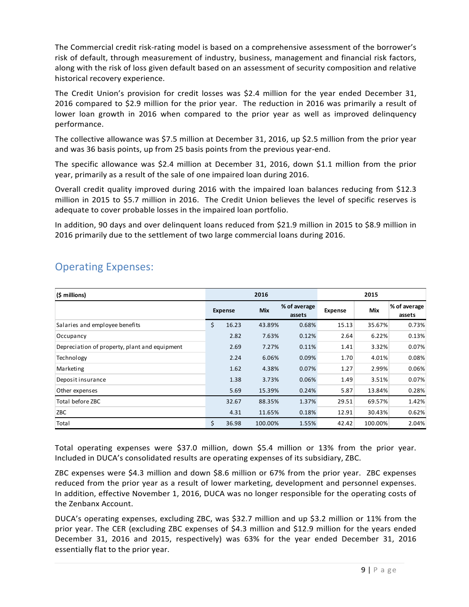The Commercial credit risk-rating model is based on a comprehensive assessment of the borrower's risk of default, through measurement of industry, business, management and financial risk factors, along with the risk of loss given default based on an assessment of security composition and relative historical recovery experience.

The Credit Union's provision for credit losses was \$2.4 million for the year ended December 31, 2016 compared to \$2.9 million for the prior year. The reduction in 2016 was primarily a result of lower loan growth in 2016 when compared to the prior year as well as improved delinquency performance.

The collective allowance was \$7.5 million at December 31, 2016, up \$2.5 million from the prior year and was 36 basis points, up from 25 basis points from the previous year-end.

The specific allowance was \$2.4 million at December 31, 2016, down \$1.1 million from the prior year, primarily as a result of the sale of one impaired loan during 2016.

Overall credit quality improved during 2016 with the impaired loan balances reducing from \$12.3 million in 2015 to \$5.7 million in 2016. The Credit Union believes the level of specific reserves is adequate to cover probable losses in the impaired loan portfolio.

In addition, 90 days and over delinquent loans reduced from \$21.9 million in 2015 to \$8.9 million in 2016 primarily due to the settlement of two large commercial loans during 2016.

| (\$ millions)                                 |         |                | 2016       |                        | 2015           |         |                        |  |  |
|-----------------------------------------------|---------|----------------|------------|------------------------|----------------|---------|------------------------|--|--|
|                                               |         | <b>Expense</b> | <b>Mix</b> | % of average<br>assets | <b>Expense</b> | Mix     | % of average<br>assets |  |  |
| Salaries and employee benefits                | \$      | 16.23          | 43.89%     | 0.68%                  | 15.13          | 35.67%  | 0.73%                  |  |  |
| Occupancy                                     |         | 2.82           | 7.63%      | 0.12%                  | 2.64           | 6.22%   | 0.13%                  |  |  |
| Depreciation of property, plant and equipment |         | 2.69           | 7.27%      | 0.11%                  | 1.41           | 3.32%   | 0.07%                  |  |  |
| Technology                                    |         | 2.24           | 6.06%      | 0.09%                  | 1.70           | 4.01%   | 0.08%                  |  |  |
| Marketing                                     |         | 1.62           | 4.38%      | 0.07%                  | 1.27           | 2.99%   | 0.06%                  |  |  |
| Deposit insurance                             |         | 1.38           | 3.73%      | 0.06%                  | 1.49           | 3.51%   | 0.07%                  |  |  |
| Other expenses                                |         | 5.69           | 15.39%     | 0.24%                  | 5.87           | 13.84%  | 0.28%                  |  |  |
| Total before ZBC                              |         | 32.67          | 88.35%     | 1.37%                  | 29.51          | 69.57%  | 1.42%                  |  |  |
| ZBC                                           |         | 4.31           | 11.65%     | 0.18%                  | 12.91          | 30.43%  | 0.62%                  |  |  |
| Total                                         | $\zeta$ | 36.98          | 100.00%    | 1.55%                  | 42.42          | 100.00% | 2.04%                  |  |  |

### **Operating Expenses:**

Total operating expenses were \$37.0 million, down \$5.4 million or 13% from the prior year. Included in DUCA's consolidated results are operating expenses of its subsidiary, ZBC.

ZBC expenses were \$4.3 million and down \$8.6 million or 67% from the prior year. ZBC expenses reduced from the prior year as a result of lower marketing, development and personnel expenses. In addition, effective November 1, 2016, DUCA was no longer responsible for the operating costs of the Zenbanx Account.

DUCA's operating expenses, excluding ZBC, was \$32.7 million and up \$3.2 million or 11% from the prior year. The CER (excluding ZBC expenses of \$4.3 million and \$12.9 million for the years ended December 31, 2016 and 2015, respectively) was 63% for the year ended December 31, 2016 essentially flat to the prior year.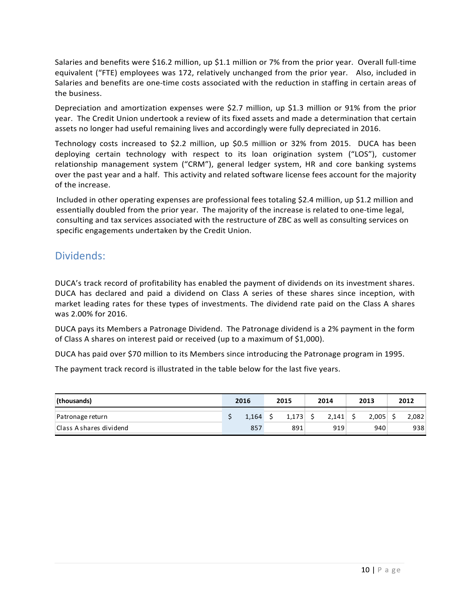Salaries and benefits were \$16.2 million, up \$1.1 million or 7% from the prior year. Overall full-time equivalent ("FTE) employees was 172, relatively unchanged from the prior year. Also, included in Salaries and benefits are one-time costs associated with the reduction in staffing in certain areas of the business.

Depreciation and amortization expenses were \$2.7 million, up \$1.3 million or 91% from the prior year. The Credit Union undertook a review of its fixed assets and made a determination that certain assets no longer had useful remaining lives and accordingly were fully depreciated in 2016.

Technology costs increased to \$2.2 million, up \$0.5 million or 32% from 2015. DUCA has been deploying certain technology with respect to its loan origination system ("LOS"), customer relationship management system ("CRM"), general ledger system, HR and core banking systems over the past year and a half. This activity and related software license fees account for the majority of the increase.

Included in other operating expenses are professional fees totaling \$2.4 million, up \$1.2 million and essentially doubled from the prior year. The majority of the increase is related to one-time legal, consulting and tax services associated with the restructure of ZBC as well as consulting services on specific engagements undertaken by the Credit Union.

#### Dividends:

DUCA's track record of profitability has enabled the payment of dividends on its investment shares. DUCA has declared and paid a dividend on Class A series of these shares since inception, with market leading rates for these types of investments. The dividend rate paid on the Class A shares was 2.00% for 2016. 

DUCA pays its Members a Patronage Dividend. The Patronage dividend is a 2% payment in the form of Class A shares on interest paid or received (up to a maximum of \$1,000).

DUCA has paid over \$70 million to its Members since introducing the Patronage program in 1995.

The payment track record is illustrated in the table below for the last five years.

| (thousands)            | 2016 |       | 2015 |       | 2014 |       | 2013 |       | 2012 |       |
|------------------------|------|-------|------|-------|------|-------|------|-------|------|-------|
| Patronage return       |      | 1.164 |      | 1.173 |      | 2.141 |      | 2,005 |      | 2,082 |
| Class Ashares dividend |      | 857   |      | 891   |      | 919   |      | 940   |      | 938   |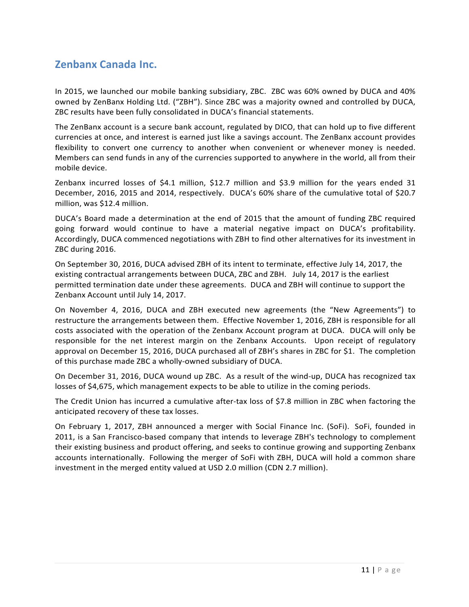#### **Zenbanx Canada Inc.**

In 2015, we launched our mobile banking subsidiary, ZBC. ZBC was 60% owned by DUCA and 40% owned by ZenBanx Holding Ltd. ("ZBH"). Since ZBC was a majority owned and controlled by DUCA, ZBC results have been fully consolidated in DUCA's financial statements.

The ZenBanx account is a secure bank account, regulated by DICO, that can hold up to five different currencies at once, and interest is earned just like a savings account. The ZenBanx account provides flexibility to convert one currency to another when convenient or whenever money is needed. Members can send funds in any of the currencies supported to anywhere in the world, all from their mobile device.

Zenbanx incurred losses of \$4.1 million, \$12.7 million and \$3.9 million for the years ended 31 December, 2016, 2015 and 2014, respectively. DUCA's 60% share of the cumulative total of \$20.7 million, was \$12.4 million.

DUCA's Board made a determination at the end of 2015 that the amount of funding ZBC required going forward would continue to have a material negative impact on DUCA's profitability. Accordingly, DUCA commenced negotiations with ZBH to find other alternatives for its investment in ZBC during 2016.

On September 30, 2016, DUCA advised ZBH of its intent to terminate, effective July 14, 2017, the existing contractual arrangements between DUCA, ZBC and ZBH. July 14, 2017 is the earliest permitted termination date under these agreements. DUCA and ZBH will continue to support the Zenbanx Account until July 14, 2017.

On November 4, 2016, DUCA and ZBH executed new agreements (the "New Agreements") to restructure the arrangements between them. Effective November 1, 2016, ZBH is responsible for all costs associated with the operation of the Zenbanx Account program at DUCA. DUCA will only be responsible for the net interest margin on the Zenbanx Accounts. Upon receipt of regulatory approval on December 15, 2016, DUCA purchased all of ZBH's shares in ZBC for \$1. The completion of this purchase made ZBC a wholly-owned subsidiary of DUCA.

On December 31, 2016, DUCA wound up ZBC. As a result of the wind-up, DUCA has recognized tax losses of \$4,675, which management expects to be able to utilize in the coming periods.

The Credit Union has incurred a cumulative after-tax loss of \$7.8 million in ZBC when factoring the anticipated recovery of these tax losses.

On February 1, 2017, ZBH announced a merger with Social Finance Inc. (SoFi). SoFi, founded in 2011, is a San Francisco-based company that intends to leverage ZBH's technology to complement their existing business and product offering, and seeks to continue growing and supporting Zenbanx accounts internationally. Following the merger of SoFi with ZBH, DUCA will hold a common share investment in the merged entity valued at USD 2.0 million (CDN 2.7 million).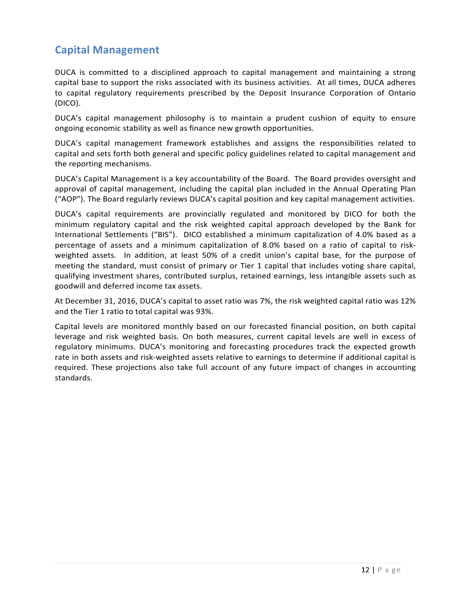### **Capital Management**

DUCA is committed to a disciplined approach to capital management and maintaining a strong capital base to support the risks associated with its business activities. At all times, DUCA adheres to capital regulatory requirements prescribed by the Deposit Insurance Corporation of Ontario (DICO).

DUCA's capital management philosophy is to maintain a prudent cushion of equity to ensure ongoing economic stability as well as finance new growth opportunities.

DUCA's capital management framework establishes and assigns the responsibilities related to capital and sets forth both general and specific policy guidelines related to capital management and the reporting mechanisms.

DUCA's Capital Management is a key accountability of the Board. The Board provides oversight and approval of capital management, including the capital plan included in the Annual Operating Plan ("AOP"). The Board regularly reviews DUCA's capital position and key capital management activities.

DUCA's capital requirements are provincially regulated and monitored by DICO for both the minimum regulatory capital and the risk weighted capital approach developed by the Bank for International Settlements ("BIS"). DICO established a minimum capitalization of 4.0% based as a percentage of assets and a minimum capitalization of 8.0% based on a ratio of capital to riskweighted assets. In addition, at least 50% of a credit union's capital base, for the purpose of meeting the standard, must consist of primary or Tier 1 capital that includes voting share capital, qualifying investment shares, contributed surplus, retained earnings, less intangible assets such as goodwill and deferred income tax assets.

At December 31, 2016, DUCA's capital to asset ratio was 7%, the risk weighted capital ratio was 12% and the Tier 1 ratio to total capital was 93%.

Capital levels are monitored monthly based on our forecasted financial position, on both capital leverage and risk weighted basis. On both measures, current capital levels are well in excess of regulatory minimums. DUCA's monitoring and forecasting procedures track the expected growth rate in both assets and risk-weighted assets relative to earnings to determine if additional capital is required. These projections also take full account of any future impact of changes in accounting standards.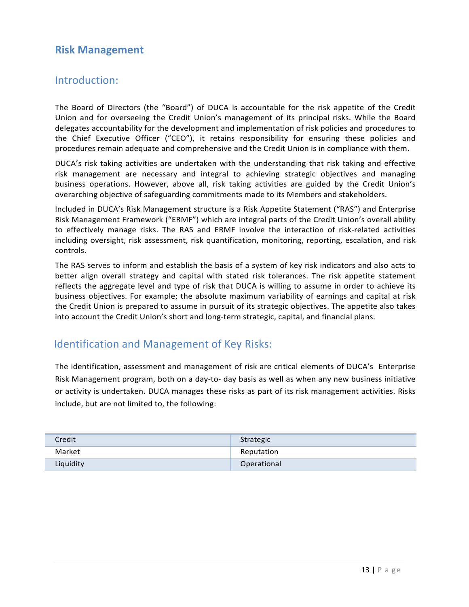#### **Risk Management**

#### Introduction:

The Board of Directors (the "Board") of DUCA is accountable for the risk appetite of the Credit Union and for overseeing the Credit Union's management of its principal risks. While the Board delegates accountability for the development and implementation of risk policies and procedures to the Chief Executive Officer ("CEO"), it retains responsibility for ensuring these policies and procedures remain adequate and comprehensive and the Credit Union is in compliance with them.

DUCA's risk taking activities are undertaken with the understanding that risk taking and effective risk management are necessary and integral to achieving strategic objectives and managing business operations. However, above all, risk taking activities are guided by the Credit Union's overarching objective of safeguarding commitments made to its Members and stakeholders.

Included in DUCA's Risk Management structure is a Risk Appetite Statement ("RAS") and Enterprise Risk Management Framework ("ERMF") which are integral parts of the Credit Union's overall ability to effectively manage risks. The RAS and ERMF involve the interaction of risk-related activities including oversight, risk assessment, risk quantification, monitoring, reporting, escalation, and risk controls. 

The RAS serves to inform and establish the basis of a system of key risk indicators and also acts to better align overall strategy and capital with stated risk tolerances. The risk appetite statement reflects the aggregate level and type of risk that DUCA is willing to assume in order to achieve its business objectives. For example; the absolute maximum variability of earnings and capital at risk the Credit Union is prepared to assume in pursuit of its strategic objectives. The appetite also takes into account the Credit Union's short and long-term strategic, capital, and financial plans.

#### Identification and Management of Key Risks:

The identification, assessment and management of risk are critical elements of DUCA's Enterprise Risk Management program, both on a day-to- day basis as well as when any new business initiative or activity is undertaken. DUCA manages these risks as part of its risk management activities. Risks include, but are not limited to, the following:

| Credit    | Strategic   |
|-----------|-------------|
| Market    | Reputation  |
| Liquidity | Operational |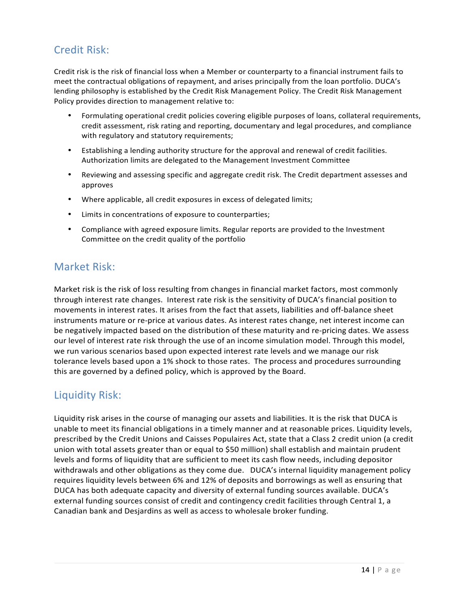# Credit Risk:

Credit risk is the risk of financial loss when a Member or counterparty to a financial instrument fails to meet the contractual obligations of repayment, and arises principally from the loan portfolio. DUCA's lending philosophy is established by the Credit Risk Management Policy. The Credit Risk Management Policy provides direction to management relative to:

- Formulating operational credit policies covering eligible purposes of loans, collateral requirements, credit assessment, risk rating and reporting, documentary and legal procedures, and compliance with regulatory and statutory requirements;
- Establishing a lending authority structure for the approval and renewal of credit facilities. Authorization limits are delegated to the Management Investment Committee
- Reviewing and assessing specific and aggregate credit risk. The Credit department assesses and approves
- Where applicable, all credit exposures in excess of delegated limits;
- Limits in concentrations of exposure to counterparties;
- Compliance with agreed exposure limits. Regular reports are provided to the Investment Committee on the credit quality of the portfolio

#### Market Risk:

Market risk is the risk of loss resulting from changes in financial market factors, most commonly through interest rate changes. Interest rate risk is the sensitivity of DUCA's financial position to movements in interest rates. It arises from the fact that assets, liabilities and off-balance sheet instruments mature or re-price at various dates. As interest rates change, net interest income can be negatively impacted based on the distribution of these maturity and re-pricing dates. We assess our level of interest rate risk through the use of an income simulation model. Through this model, we run various scenarios based upon expected interest rate levels and we manage our risk tolerance levels based upon a 1% shock to those rates. The process and procedures surrounding this are governed by a defined policy, which is approved by the Board.

# Liquidity Risk:

Liquidity risk arises in the course of managing our assets and liabilities. It is the risk that DUCA is unable to meet its financial obligations in a timely manner and at reasonable prices. Liquidity levels, prescribed by the Credit Unions and Caisses Populaires Act, state that a Class 2 credit union (a credit union with total assets greater than or equal to \$50 million) shall establish and maintain prudent levels and forms of liquidity that are sufficient to meet its cash flow needs, including depositor withdrawals and other obligations as they come due. DUCA's internal liquidity management policy requires liquidity levels between 6% and 12% of deposits and borrowings as well as ensuring that DUCA has both adequate capacity and diversity of external funding sources available. DUCA's external funding sources consist of credit and contingency credit facilities through Central 1, a Canadian bank and Desjardins as well as access to wholesale broker funding.